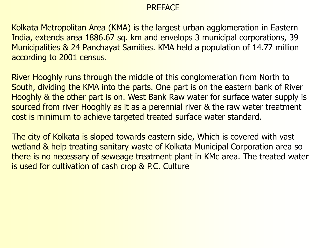#### **PRFFACE**

Kolkata Metropolitan Area (KMA) is the largest urban agglomeration in Eastern India, extends area 1886.67 sq. km and envelops 3 municipal corporations, 39 Municipalities & 24 Panchayat Samities. KMA held a population of 14.77 million according to 2001 census.

River Hooghly runs through the middle of this conglomeration from North to South, dividing the KMA into the parts. One part is on the eastern bank of River Hooghly & the other part is on. West Bank Raw water for surface water supply is sourced from river Hooghly as it as a perennial river & the raw water treatment cost is minimum to achieve targeted treated surface water standard.

The city of Kolkata is sloped towards eastern side, Which is covered with vast wetland & help treating sanitary waste of Kolkata Municipal Corporation area so there is no necessary of seweage treatment plant in KMc area. The treated water is used for cultivation of cash crop & P.C. Culture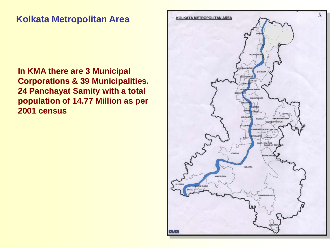#### **Kolkata Metropolitan Area**

**In KMA there are 3 Municipal Corporations & 39 Municipalities. 24 Panchayat Samity with a total population of 14.77 Million as per 2001 census** 

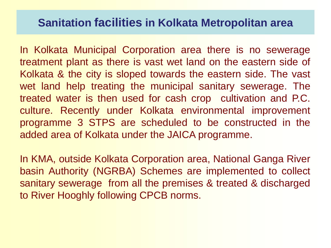## **Sanitation facilities in Kolkata Metropolitan area**

In Kolkata Municipal Corporation area there is no sewerage treatment plant as there is vast wet land on the eastern side of Kolkata & the city is sloped towards the eastern side. The vast wet land help treating the municipal sanitary sewerage. The treated water is then used for cash crop cultivation and P.C. culture. Recently under Kolkata environmental improvement programme 3 STPS are scheduled to be constructed in the added area of Kolkata under the JAICA programme.

In KMA, outside Kolkata Corporation area, National Ganga River basin Authority (NGRBA) Schemes are implemented to collect sanitary sewerage from all the premises & treated & discharged to River Hooghly following CPCB norms.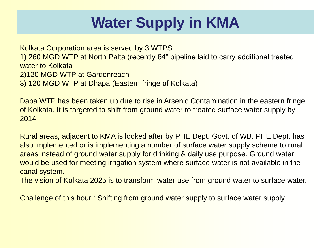# **Water Supply in KMA**

Kolkata Corporation area is served by 3 WTPS 1) 260 MGD WTP at North Palta (recently 64" pipeline laid to carry additional treated water to Kolkata 2)120 MGD WTP at Gardenreach 3) 120 MGD WTP at Dhapa (Eastern fringe of Kolkata)

Dapa WTP has been taken up due to rise in Arsenic Contamination in the eastern fringe of Kolkata. It is targeted to shift from ground water to treated surface water supply by 2014

Rural areas, adjacent to KMA is looked after by PHE Dept. Govt. of WB. PHE Dept. has also implemented or is implementing a number of surface water supply scheme to rural areas instead of ground water supply for drinking & daily use purpose. Ground water would be used for meeting irrigation system where surface water is not available in the canal system.

The vision of Kolkata 2025 is to transform water use from ground water to surface water.

Challenge of this hour : Shifting from ground water supply to surface water supply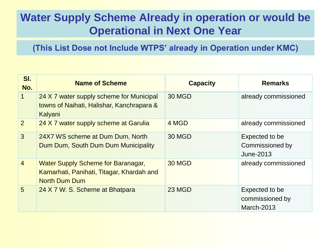# **Water Supply Scheme Already in operation or would be Operational in Next One Year**

**(This List Dose not Include WTPS' already in Operation under KMC)**

| SI.<br>No.      | <b>Name of Scheme</b>                                                                                          | <b>Capacity</b> | <b>Remarks</b>                                  |
|-----------------|----------------------------------------------------------------------------------------------------------------|-----------------|-------------------------------------------------|
| $\mathbf{1}$    | 24 X 7 water supply scheme for Municipal<br>towns of Naihati, Halishar, Kanchrapara &<br>Kalyani               | 30 MGD          | already commissioned                            |
| $\overline{2}$  | 24 X 7 water supply scheme at Garulia                                                                          | 4 MGD           | already commissioned                            |
| 3               | 24X7 WS scheme at Dum Dum, North<br>Dum Dum, South Dum Dum Municipality                                        | <b>30 MGD</b>   | Expected to be<br>Commissioned by<br>June-2013  |
| $\overline{4}$  | <b>Water Supply Scheme for Baranagar,</b><br>Kamarhati, Panihati, Titagar, Khardah and<br><b>North Dum Dum</b> | <b>30 MGD</b>   | already commissioned                            |
| $5\overline{)}$ | 24 X 7 W. S. Scheme at Bhatpara                                                                                | 23 MGD          | Expected to be<br>commissioned by<br>March-2013 |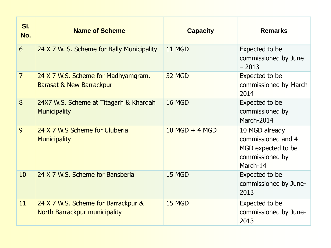| SI.<br>No.     | <b>Name of Scheme</b>                                                      | <b>Capacity</b>  | <b>Remarks</b>                                                                            |
|----------------|----------------------------------------------------------------------------|------------------|-------------------------------------------------------------------------------------------|
| 6              | 24 X 7 W. S. Scheme for Bally Municipality                                 | 11 MGD           | Expected to be<br>commissioned by June<br>$-2013$                                         |
| $\overline{7}$ | 24 X 7 W.S. Scheme for Madhyamgram,<br><b>Barasat &amp; New Barrackpur</b> | 32 MGD           | Expected to be<br>commissioned by March<br>2014                                           |
| 8              | 24X7 W.S. Scheme at Titagarh & Khardah<br><b>Municipality</b>              | <b>16 MGD</b>    | Expected to be<br>commissioned by<br>March-2014                                           |
| 9              | 24 X 7 W.S Scheme for Uluberia<br><b>Municipality</b>                      | $10$ MGD + 4 MGD | 10 MGD already<br>commissioned and 4<br>MGD expected to be<br>commissioned by<br>March-14 |
| 10             | 24 X 7 W.S. Scheme for Bansberia                                           | 15 MGD           | Expected to be<br>commissioned by June-<br>2013                                           |
| 11             | 24 X 7 W.S. Scheme for Barrackpur &<br>North Barrackpur municipality       | 15 MGD           | Expected to be<br>commissioned by June-<br>2013                                           |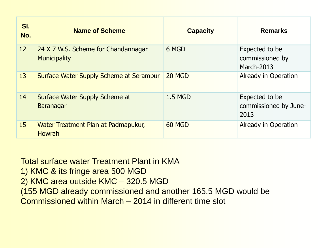| SI.<br>No. | <b>Name of Scheme</b>                                      | <b>Capacity</b> | <b>Remarks</b>                                  |
|------------|------------------------------------------------------------|-----------------|-------------------------------------------------|
| 12         | 24 X 7 W.S. Scheme for Chandannagar<br><b>Municipality</b> | 6 MGD           | Expected to be<br>commissioned by<br>March-2013 |
| 13         | <b>Surface Water Supply Scheme at Serampur</b>             | 20 MGD          | Already in Operation                            |
| 14         | Surface Water Supply Scheme at<br><b>Baranagar</b>         | <b>1.5 MGD</b>  | Expected to be<br>commissioned by June-<br>2013 |
| 15         | Water Treatment Plan at Padmapukur,<br><b>Howrah</b>       | 60 MGD          | Already in Operation                            |

Total surface water Treatment Plant in KMA 1) KMC & its fringe area 500 MGD 2) KMC area outside KMC – 320.5 MGD (155 MGD already commissioned and another 165.5 MGD would be Commissioned within March – 2014 in different time slot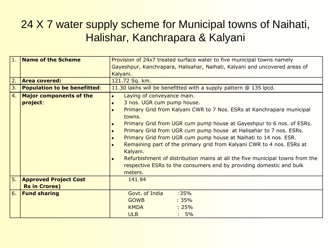## 24 X 7 water supply scheme for Municipal towns of Naihati, Halishar, Kanchrapara & Kalyani

| 1. | <b>Name of the Scheme</b>           | Provision of 24x7 treated surface water to five municipal towns namely                       |  |
|----|-------------------------------------|----------------------------------------------------------------------------------------------|--|
|    |                                     | Gayeshpur, Kanchrapara, Halisahar, Naihati, Kalyani and uncovered areas of                   |  |
|    |                                     | Kalyani.                                                                                     |  |
| 2. | <b>Area covered:</b>                | 121.72 Sq. km.                                                                               |  |
| 3. | <b>Population to be benefitted:</b> | 11.30 lakhs will be benefitted with a supply pattern @ 135 lpcd.                             |  |
| 4. | <b>Major components of the</b>      | Laying of conveyance main.<br>$\bullet$                                                      |  |
|    | project:                            | 3 nos. UGR cum pump house.                                                                   |  |
|    |                                     | Primary Grid from Kalyani CWR to 7 Nos. ESRs at Kanchrapara municipal<br>$\bullet$<br>towns. |  |
|    |                                     | <b>Primary Grid from UGR cum pump house at Gayeshpur to 6 nos. of ESRs.</b>                  |  |
|    |                                     | Primary Grid from UGR cum pump house at Halisahar to 7 nos. ESRs.                            |  |
|    |                                     | Primary Grid from UGR cum pump house at Naihati to 14 nos. ESR.                              |  |
|    |                                     | Remaining part of the primary grid from Kalyani CWR to 4 nos. ESRs at<br>$\bullet$           |  |
|    |                                     | Kalyani.                                                                                     |  |
|    |                                     | Refurbishment of distribution mains at all the five municipal towns from the<br>$\bullet$    |  |
|    |                                     | respective ESRs to the consumers end by providing domestic and bulk                          |  |
|    |                                     | meters.                                                                                      |  |
| 5. | <b>Approved Project Cost</b>        | 141.94                                                                                       |  |
|    | <b>Rs in Crores)</b>                |                                                                                              |  |
| 6. | <b>Fund sharing</b>                 | Govt. of India<br>$:35\%$                                                                    |  |
|    |                                     | <b>GOWB</b><br>$:35\%$                                                                       |  |
|    |                                     | <b>KMDA</b><br>: 25%                                                                         |  |
|    |                                     | $:5\%$<br><b>ULB</b>                                                                         |  |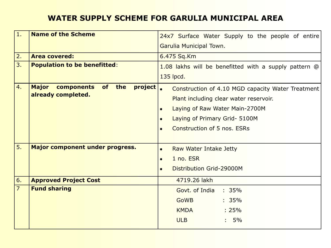#### **WATER SUPPLY SCHEME FOR GARULIA MUNICIPAL AREA**

| 1.             | <b>Name of the Scheme</b>                                 | 24x7 Surface Water Supply to the people of entire              |
|----------------|-----------------------------------------------------------|----------------------------------------------------------------|
|                |                                                           | Garulia Municipal Town.                                        |
| 2.             | <b>Area covered:</b>                                      | 6.475 Sq.Km                                                    |
| 3.             | <b>Population to be benefitted:</b>                       | 1.08 lakhs will be benefitted with a supply pattern @          |
|                |                                                           | 135 lpcd.                                                      |
| 4.             | <b>Major</b><br>project<br>components<br><b>of</b><br>the | Construction of 4.10 MGD capacity Water Treatment<br>$\bullet$ |
|                | already completed.                                        | Plant including clear water reservoir.                         |
|                |                                                           | Laying of Raw Water Main-2700M                                 |
|                |                                                           | Laying of Primary Grid- 5100M<br>$\bullet$                     |
|                |                                                           | Construction of 5 nos. ESRs<br>$\bullet$                       |
|                |                                                           |                                                                |
| 5.             | Major component under progress.                           | Raw Water Intake Jetty<br>$\bullet$                            |
|                |                                                           | 1 no. ESR<br>$\bullet$                                         |
|                |                                                           | Distribution Grid-29000M<br>$\bullet$                          |
| 6.             | <b>Approved Project Cost</b>                              | 4719.26 lakh                                                   |
| $\overline{7}$ | <b>Fund sharing</b>                                       | Govt. of India<br>: 35%                                        |
|                |                                                           | <b>GoWB</b><br>: 35%                                           |
|                |                                                           | <b>KMDA</b><br>: 25%                                           |
|                |                                                           | <b>ULB</b><br>5%                                               |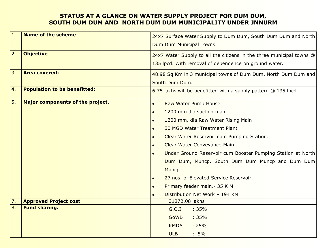#### **STATUS AT A GLANCE ON WATER SUPPLY PROJECT FOR DUM DUM, SOUTH DUM DUM AND NORTH DUM DUM MUNICIPALITY UNDER JNNURM**

| 1.               | <b>Name of the scheme</b>           | 24x7 Surface Water Supply to Dum Dum, South Dum Dum and North        |
|------------------|-------------------------------------|----------------------------------------------------------------------|
|                  |                                     | Dum Dum Municipal Towns.                                             |
| 2.               | <b>Objective</b>                    | 24x7 Water Supply to all the citizens in the three municipal towns @ |
|                  |                                     | 135 lpcd. With removal of dependence on ground water.                |
| 3.               | <b>Area covered:</b>                | 48.98 Sq.Km in 3 municipal towns of Dum Dum, North Dum Dum and       |
|                  |                                     | South Dum Dum.                                                       |
| 4.               | <b>Population to be benefitted:</b> | 6.75 lakhs will be benefitted with a supply pattern @ 135 lpcd.      |
| 5.               | Major components of the project.    | Raw Water Pump House                                                 |
|                  |                                     | 1200 mm dia suction main                                             |
|                  |                                     | 1200 mm. dia Raw Water Rising Main                                   |
|                  |                                     | <b>30 MGD Water Treatment Plant</b>                                  |
|                  |                                     | Clear Water Reservoir cum Pumping Station.                           |
|                  |                                     | Clear Water Conveyance Main                                          |
|                  |                                     | Under Ground Reservoir cum Booster Pumping Station at North          |
|                  |                                     | Dum Dum, Muncp. South Dum Dum Muncp and Dum Dum                      |
|                  |                                     | Muncp.                                                               |
|                  |                                     | 27 nos. of Elevated Service Reservoir.                               |
|                  |                                     | Primary feeder main. - 35 K M.                                       |
|                  |                                     | Distribution Net Work - 194 KM                                       |
| 7.               | <b>Approved Project cost</b>        | 31272.08 lakhs                                                       |
| $\overline{8}$ . | <b>Fund sharing.</b>                | G.O.I<br>:35%                                                        |
|                  |                                     | <b>GoWB</b><br>:35%                                                  |
|                  |                                     | <b>KMDA</b><br>: 25%                                                 |
|                  |                                     | $:5\%$<br><b>ULB</b>                                                 |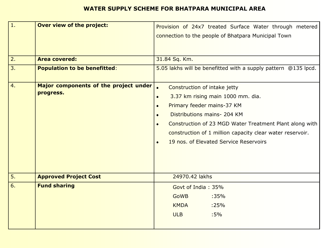#### **WATER SUPPLY SCHEME FOR BHATPARA MUNICIPAL AREA**

| $\mathbf{1}$ .   | <b>Over view of the project:</b>      | Provision of 24x7 treated Surface Water through metered<br>connection to the people of Bhatpara Municipal Town |  |
|------------------|---------------------------------------|----------------------------------------------------------------------------------------------------------------|--|
| 2.               | <b>Area covered:</b>                  | 31.84 Sq. Km.                                                                                                  |  |
| $\overline{3}$ . | <b>Population to be benefitted:</b>   | 5.05 lakhs will be benefitted with a supply pattern @135 lpcd.                                                 |  |
| 4.               | Major components of the project under | $\bullet$<br>Construction of intake jetty                                                                      |  |
|                  | progress.                             | 3.37 km rising main 1000 mm. dia.<br>$\bullet$                                                                 |  |
|                  |                                       | Primary feeder mains-37 KM<br>$\bullet$                                                                        |  |
|                  |                                       | Distributions mains- 204 KM                                                                                    |  |
|                  |                                       | Construction of 23 MGD Water Treatment Plant along with<br>$\bullet$                                           |  |
|                  |                                       | construction of 1 million capacity clear water reservoir.                                                      |  |
|                  |                                       | 19 nos. of Elevated Service Reservoirs<br>$\bullet$                                                            |  |
|                  |                                       |                                                                                                                |  |
| 5.               | <b>Approved Project Cost</b>          | 24970.42 lakhs                                                                                                 |  |
| 6.               | <b>Fund sharing</b>                   | Govt of India: 35%                                                                                             |  |
|                  |                                       | <b>GoWB</b><br>:35%                                                                                            |  |
|                  |                                       | <b>KMDA</b><br>:25%                                                                                            |  |
|                  |                                       | <b>ULB</b><br>$:5\%$                                                                                           |  |
|                  |                                       |                                                                                                                |  |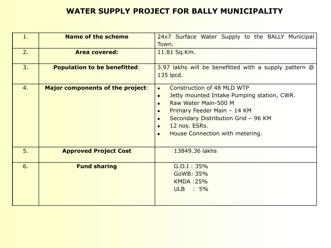#### **WATER SUPPLY PROJECT FOR BALLY MUNICIPALITY**

| 1. | <b>Name of the scheme</b>               | 24x7 Surface Water Supply to the BALLY Municipal<br>Town.                                                                                                                                                                                            |
|----|-----------------------------------------|------------------------------------------------------------------------------------------------------------------------------------------------------------------------------------------------------------------------------------------------------|
| 2. | <b>Area covered:</b>                    | 11.81 Sq.Km.                                                                                                                                                                                                                                         |
| 3. | <b>Population to be benefitted:</b>     | 3.97 lakhs will be benefitted with a supply pattern @<br>135 lpcd.                                                                                                                                                                                   |
| 4. | <b>Major components of the project:</b> | Construction of 48 MLD WTP<br>$\bullet$<br>Jetty mounted Intake Pumping station, CWR.<br>$\bullet$<br>Raw Water Main-500 M<br>Primary Feeder Main - 14 KM<br>Secondary Distribution Grid - 96 KM<br>12 nos. ESRs.<br>House Connection with metering. |
| 5. | <b>Approved Project Cost</b>            | 13849.36 lakhs                                                                                                                                                                                                                                       |
| 6. | <b>Fund sharing</b>                     | G.O.I: 35%<br>GoWB: 35%<br><b>KMDA:25%</b><br>ULB : 5%                                                                                                                                                                                               |